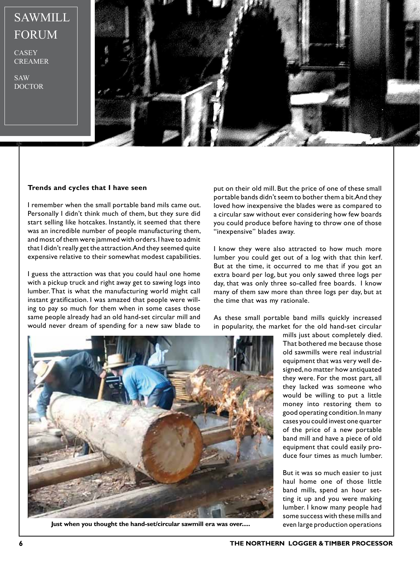## SAWMILL FORUM

**CASEY CREAMER** 

SAW DOCTOR



## **Trends and cycles that I have seen**

I remember when the small portable band mils came out. Personally I didn't think much of them, but they sure did start selling like hotcakes. Instantly, it seemed that there was an incredible number of people manufacturing them, and most of them were jammed with orders. I have to admit that I didn't really get the attraction. And they seemed quite expensive relative to their somewhat modest capabilities.

I guess the attraction was that you could haul one home with a pickup truck and right away get to sawing logs into lumber. That is what the manufacturing world might call instant gratification. I was amazed that people were willing to pay so much for them when in some cases those same people already had an old hand-set circular mill and would never dream of spending for a new saw blade to

put on their old mill. But the price of one of these small portable bands didn't seem to bother them a bit. And they loved how inexpensive the blades were as compared to a circular saw without ever considering how few boards you could produce before having to throw one of those "inexpensive" blades away.

I know they were also attracted to how much more lumber you could get out of a log with that thin kerf. But at the time, it occurred to me that if you got an extra board per log, but you only sawed three logs per day, that was only three so-called free boards. I know many of them saw more than three logs per day, but at the time that was my rationale.

As these small portable band mills quickly increased in popularity, the market for the old hand-set circular



Just when you thought the hand-set/circular sawmill era was over..... even large production operations

mills just about completely died. That bothered me because those old sawmills were real industrial equipment that was very well designed, no matter how antiquated they were. For the most part, all they lacked was someone who would be willing to put a little money into restoring them to good operating condition. In many cases you could invest one quarter of the price of a new portable band mill and have a piece of old equipment that could easily produce four times as much lumber.

But it was so much easier to just haul home one of those little band mills, spend an hour setting it up and you were making lumber. I know many people had some success with these mills and